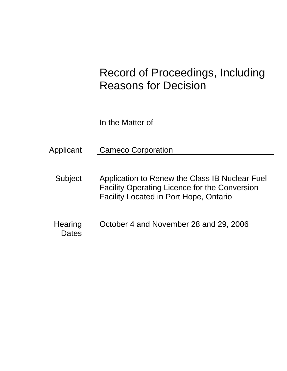# Record of Proceedings, Including Reasons for Decision

In the Matter of

Applicant Cameco Corporation

- Subject Application to Renew the Class IB Nuclear Fuel Facility Operating Licence for the Conversion Facility Located in Port Hope, Ontario
- Hearing October 4 and November 28 and 29, 2006 **Dates**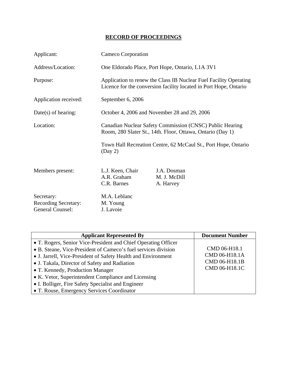## **RECORD OF PROCEEDINGS**

| Applicant:                                                    |                                                                                                                        | Cameco Corporation                                                                                                                     |  |
|---------------------------------------------------------------|------------------------------------------------------------------------------------------------------------------------|----------------------------------------------------------------------------------------------------------------------------------------|--|
| Address/Location:                                             | One Eldorado Place, Port Hope, Ontario, L1A 3V1                                                                        |                                                                                                                                        |  |
| Purpose:                                                      |                                                                                                                        | Application to renew the Class IB Nuclear Fuel Facility Operating<br>Licence for the conversion facility located in Port Hope, Ontario |  |
| Application received:                                         | September 6, 2006                                                                                                      |                                                                                                                                        |  |
| $Date(s)$ of hearing:                                         |                                                                                                                        | October 4, 2006 and November 28 and 29, 2006                                                                                           |  |
| Location:                                                     | Canadian Nuclear Safety Commission (CNSC) Public Hearing<br>Room, 280 Slater St., 14th. Floor, Ottawa, Ontario (Day 1) |                                                                                                                                        |  |
|                                                               | (Day 2)                                                                                                                | Town Hall Recreation Centre, 62 McCaul St., Port Hope, Ontario                                                                         |  |
| Members present:                                              | L.J. Keen, Chair<br>A.R. Graham<br>C.R. Barnes                                                                         | J.A. Dosman<br>M. J. McDill<br>A. Harvey                                                                                               |  |
| Secretary:<br><b>Recording Secretary:</b><br>General Counsel: | M.A. Leblanc<br>M. Young<br>J. Lavoie                                                                                  |                                                                                                                                        |  |

| <b>Applicant Represented By</b>                                                                                                                                                                                                                                                                                                                                                                                                                   | <b>Document Number</b>                                          |
|---------------------------------------------------------------------------------------------------------------------------------------------------------------------------------------------------------------------------------------------------------------------------------------------------------------------------------------------------------------------------------------------------------------------------------------------------|-----------------------------------------------------------------|
| • T. Rogers, Senior Vice-President and Chief Operating Officer<br>• B. Steane, Vice-President of Cameco's fuel services division<br>• J. Jarrell, Vice-President of Safety Health and Environment<br>• J. Takala, Director of Safety and Radiation<br>• T. Kennedy, Production Manager<br>• K. Vetor, Superintendent Compliance and Licensing<br>• I. Bolliger, Fire Safety Specialist and Engineer<br>• T. Rouse, Emergency Services Coordinator | CMD 06-H18.1<br>CMD 06-H18.1A<br>CMD 06-H18.1B<br>CMD 06-H18.1C |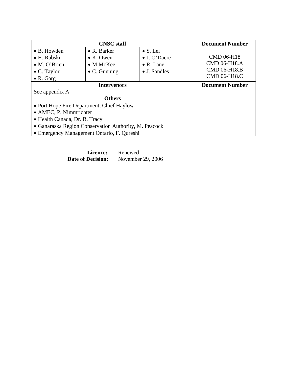|                                                       | <b>CNSC</b> staff                          |                   | <b>Document Number</b> |
|-------------------------------------------------------|--------------------------------------------|-------------------|------------------------|
| $\bullet$ B. Howden                                   | $\bullet$ R. Barker                        | $\bullet$ S. Lei  |                        |
| • H. Rabski                                           | $\bullet$ K. Owen                          | • J. O'Dacre      | <b>CMD 06-H18</b>      |
| • M. O'Brien                                          | $\bullet$ M.McKee                          | $\bullet$ R. Lane | CMD 06-H18.A           |
| $\bullet$ C. Taylor                                   | $\bullet$ C. Gunning                       | • J. Sandles      | CMD 06-H18.B           |
| $\bullet$ R. Garg                                     |                                            |                   | CMD 06-H18.C           |
|                                                       | <b>Intervenors</b>                         |                   | <b>Document Number</b> |
| See appendix A                                        |                                            |                   |                        |
|                                                       | <b>Others</b>                              |                   |                        |
|                                                       | • Port Hope Fire Department, Chief Haylow  |                   |                        |
| $\bullet$ AMEC, P. Nimmrichter                        |                                            |                   |                        |
| • Health Canada, Dr. B. Tracy                         |                                            |                   |                        |
| • Ganaraska Region Conservation Authority, M. Peacock |                                            |                   |                        |
|                                                       | • Emergency Management Ontario, F. Qureshi |                   |                        |

| Licence:                 | Renewed           |  |
|--------------------------|-------------------|--|
| <b>Date of Decision:</b> | November 29, 2006 |  |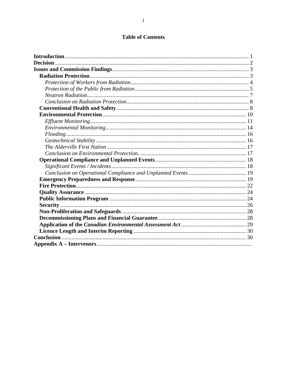## **Table of Contents**

| <b>Decision</b> |  |
|-----------------|--|
|                 |  |
|                 |  |
|                 |  |
|                 |  |
|                 |  |
|                 |  |
|                 |  |
|                 |  |
|                 |  |
|                 |  |
|                 |  |
|                 |  |
|                 |  |
|                 |  |
|                 |  |
|                 |  |
|                 |  |
|                 |  |
|                 |  |
|                 |  |
|                 |  |
|                 |  |
|                 |  |
|                 |  |
|                 |  |
|                 |  |
|                 |  |
|                 |  |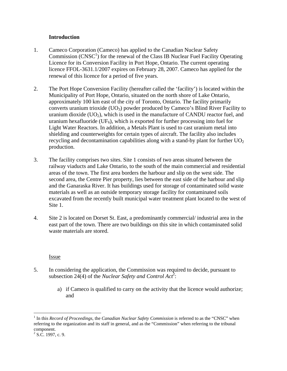#### **Introduction**

- 1. Cameco Corporation (Cameco) has applied to the Canadian Nuclear Safety Commission  $(CNSC<sup>1</sup>)$  for the renewal of the Class IB Nuclear Fuel Facility Operating Licence for its Conversion Facility in Port Hope, Ontario. The current operating licence FFOL-3631.1/2007 expires on February 28, 2007. Cameco has applied for the renewal of this licence for a period of five years.
- 2. The Port Hope Conversion Facility (hereafter called the 'facility') is located within the Municipality of Port Hope, Ontario, situated on the north shore of Lake Ontario, approximately 100 km east of the city of Toronto, Ontario. The facility primarily converts uranium trioxide  $(UO_3)$  powder produced by Cameco's Blind River Facility to uranium dioxide  $(UO_2)$ , which is used in the manufacture of CANDU reactor fuel, and uranium hexafluoride ( $UF_6$ ), which is exported for further processing into fuel for Light Water Reactors. In addition, a Metals Plant is used to cast uranium metal into shielding and counterweights for certain types of aircraft. The facility also includes recycling and decontamination capabilities along with a stand-by plant for further  $UO<sub>2</sub>$ production.
- 3. The facility comprises two sites. Site 1 consists of two areas situated between the railway viaducts and Lake Ontario, to the south of the main commercial and residential areas of the town. The first area borders the harbour and slip on the west side. The second area, the Centre Pier property, lies between the east side of the harbour and slip and the Ganaraska River. It has buildings used for storage of contaminated solid waste materials as well as an outside temporary storage facility for contaminated soils excavated from the recently built municipal water treatment plant located to the west of Site 1.
- 4. Site 2 is located on Dorset St. East, a predominantly commercial/ industrial area in the east part of the town. There are two buildings on this site in which contaminated solid waste materials are stored.

#### Issue

- 5. In considering the application, the Commission was required to decide, pursuant to subsection 24(4) of the *Nuclear Safety and Control Act*<sup>2</sup>:
	- a) if Cameco is qualified to carry on the activity that the licence would authorize; and

 $\overline{a}$ 

<sup>&</sup>lt;sup>1</sup> In this *Record of Proceedings*, the *Canadian Nuclear Safety Commission* is referred to as the "CNSC" when referring to the organization and its staff in general, and as the "Commission" when referring to the tribunal component.

 $2$  S.C. 1997, c. 9.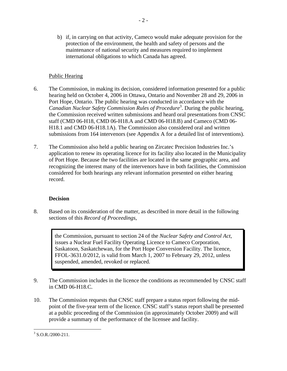b) if, in carrying on that activity, Cameco would make adequate provision for the protection of the environment, the health and safety of persons and the maintenance of national security and measures required to implement international obligations to which Canada has agreed.

- 2 -

#### Public Hearing

- 6. The Commission, in making its decision, considered information presented for a public hearing held on October 4, 2006 in Ottawa, Ontario and November 28 and 29, 2006 in Port Hope, Ontario. The public hearing was conducted in accordance with the *Canadian Nuclear Safety Commission Rules of Procedure*<sup>3</sup> . During the public hearing, the Commission received written submissions and heard oral presentations from CNSC staff (CMD 06-H18, CMD 06-H18.A and CMD 06-H18.B) and Cameco (CMD 06 H18.1 and CMD 06-H18.1A). The Commission also considered oral and written submissions from 164 intervenors (see Appendix A for a detailed list of interventions).
- 7. The Commission also held a public hearing on Zircatec Precision Industries Inc.'s application to renew its operating licence for its facility also located in the Municipality of Port Hope. Because the two facilities are located in the same geographic area, and recognizing the interest many of the intervenors have in both facilities, the Commission considered for both hearings any relevant information presented on either hearing record.

## **Decision**

8. Based on its consideration of the matter, as described in more detail in the following sections of this *Record of Proceedings*,

> the Commission, pursuant to section 24 of the *Nuclear Safety and Control Act*, issues a Nuclear Fuel Facility Operating Licence to Cameco Corporation, Saskatoon, Saskatchewan, for the Port Hope Conversion Facility. The licence, FFOL-3631.0/2012, is valid from March 1, 2007 to February 29, 2012, unless suspended, amended, revoked or replaced.

- 9. The Commission includes in the licence the conditions as recommended by CNSC staff in CMD 06-H18.C.
- 10. The Commission requests that CNSC staff prepare a status report following the midpoint of the five-year term of the licence. CNSC staff's status report shall be presented at a public proceeding of the Commission (in approximately October 2009) and will provide a summary of the performance of the licensee and facility.

 $\overline{a}$  $3$  S.O.R./2000-211.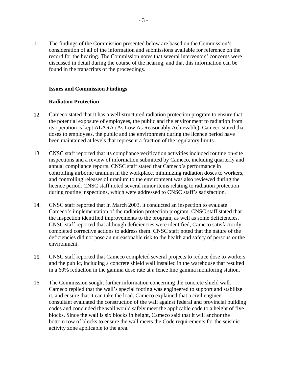11. The findings of the Commission presented below are based on the Commission's consideration of all of the information and submissions available for reference on the record for the hearing. The Commission notes that several intervenors' concerns were discussed in detail during the course of the hearing, and that this information can be found in the transcripts of the proceedings.

#### **Issues and Commission Findings**

#### **Radiation Protection**

- 12. Cameco stated that it has a well-structured radiation protection program to ensure that the potential exposure of employees, the public and the environment to radiation from its operation is kept ALARA (As Low As Reasonably Achievable). Cameco stated that doses to employees, the public and the environment during the licence period have been maintained at levels that represent a fraction of the regulatory limits.
- 13. CNSC staff reported that its compliance verification activities included routine on-site inspections and a review of information submitted by Cameco, including quarterly and annual compliance reports. CNSC staff stated that Cameco's performance in controlling airborne uranium in the workplace, minimizing radiation doses to workers, and controlling releases of uranium to the environment was also reviewed during the licence period. CNSC staff noted several minor items relating to radiation protection during routine inspections, which were addressed to CNSC staff's satisfaction.
- 14. CNSC staff reported that in March 2003, it conducted an inspection to evaluate Cameco's implementation of the radiation protection program. CNSC staff stated that the inspection identified improvements to the program, as well as some deficiencies. CNSC staff reported that although deficiencies were identified, Cameco satisfactorily completed corrective actions to address them. CNSC staff noted that the nature of the deficiencies did not pose an unreasonable risk to the health and safety of persons or the environment.
- 15. CNSC staff reported that Cameco completed several projects to reduce dose to workers and the public, including a concrete shield wall installed in the warehouse that resulted in a 60% reduction in the gamma dose rate at a fence line gamma monitoring station.
- 16. The Commission sought further information concerning the concrete shield wall. Cameco replied that the wall's special footing was engineered to support and stabilize it, and ensure that it can take the load. Cameco explained that a civil engineer consultant evaluated the construction of the wall against federal and provincial building codes and concluded the wall would safely meet the applicable code to a height of five blocks. Since the wall is six blocks in height, Cameco said that it will anchor the bottom row of blocks to ensure the wall meets the Code requirements for the seismic activity zone applicable to the area.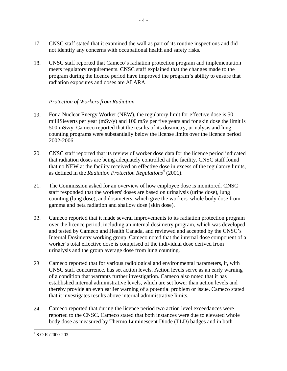- 17. CNSC staff stated that it examined the wall as part of its routine inspections and did not identify any concerns with occupational health and safety risks.
- 18. CNSC staff reported that Cameco's radiation protection program and implementation meets regulatory requirements. CNSC staff explained that the changes made to the program during the licence period have improved the program's ability to ensure that radiation exposures and doses are ALARA.

#### *Protection of Workers from Radiation*

- 19. For a Nuclear Energy Worker (NEW), the regulatory limit for effective dose is 50 milliSieverts per year (mSv/y) and 100 mSv per five years and for skin dose the limit is 500 mSv/y. Cameco reported that the results of its dosimetry, urinalysis and lung counting programs were substantially below the license limits over the licence period 2002-2006.
- 20. CNSC staff reported that its review of worker dose data for the licence period indicated that radiation doses are being adequately controlled at the facility. CNSC staff found that no NEW at the facility received an effective dose in excess of the regulatory limits, as defined in the *Radiation Protection Regulations*<sup>4</sup> (2001).
- 21. The Commission asked for an overview of how employee dose is monitored. CNSC staff responded that the workers' doses are based on urinalysis (urine dose), lung counting (lung dose), and dosimeters, which give the workers' whole body dose from gamma and beta radiation and shallow dose (skin dose).
- 22. Cameco reported that it made several improvements to its radiation protection program over the licence period, including an internal dosimetry program, which was developed and tested by Cameco and Health Canada, and reviewed and accepted by the CNSC's Internal Dosimetry working group. Cameco noted that the internal dose component of a worker's total effective dose is comprised of the individual dose derived from urinalysis and the group average dose from lung counting.
- 23. Cameco reported that for various radiological and environmental parameters, it, with CNSC staff concurrence, has set action levels. Action levels serve as an early warning of a condition that warrants further investigation. Cameco also noted that it has established internal administrative levels, which are set lower than action levels and thereby provide an even earlier warning of a potential problem or issue. Cameco stated that it investigates results above internal administrative limits.
- 24. Cameco reported that during the licence period two action level exceedances were reported to the CNSC. Cameco stated that both instances were due to elevated whole body dose as measured by Thermo Luminescent Diode (TLD) badges and in both

<sup>&</sup>lt;u>.</u> 4 S.O.R./2000-203.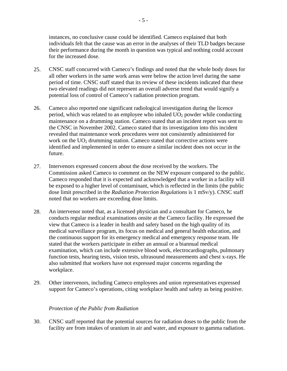instances, no conclusive cause could be identified. Cameco explained that both individuals felt that the cause was an error in the analyses of their TLD badges because their performance during the month in question was typical and nothing could account for the increased dose.

- 25. CNSC staff concurred with Cameco's findings and noted that the whole body doses for all other workers in the same work areas were below the action level during the same period of time. CNSC staff stated that its review of these incidents indicated that these two elevated readings did not represent an overall adverse trend that would signify a potential loss of control of Cameco's radiation protection program.
- 26. Cameco also reported one significant radiological investigation during the licence period, which was related to an employee who inhaled  $UO<sub>2</sub>$  powder while conducting maintenance on a drumming station. Cameco stated that an incident report was sent to the CNSC in November 2002. Cameco stated that its investigation into this incident revealed that maintenance work procedures were not consistently administered for work on the  $UO<sub>2</sub>$  drumming station. Cameco stated that corrective actions were identified and implemented in order to ensure a similar incident does not occur in the future.
- 27. Intervenors expressed concern about the dose received by the workers. The Commission asked Cameco to comment on the NEW exposure compared to the public. Cameco responded that it is expected and acknowledged that a worker in a facility will be exposed to a higher level of contaminant, which is reflected in the limits (the public dose limit prescribed in the *Radiation Protection Regulations* is 1 mSv/y). CNSC staff noted that no workers are exceeding dose limits.
- 28. An intervenor noted that, as a licensed physician and a consultant for Cameco, he conducts regular medical examinations onsite at the Cameco facility. He expressed the view that Cameco is a leader in health and safety based on the high quality of its medical surveillance program, its focus on medical and general health education, and the continuous support for its emergency medical and emergency response team. He stated that the workers participate in either an annual or a biannual medical examination, which can include extensive blood work, electrocardiographs, pulmonary function tests, hearing tests, vision tests, ultrasound measurements and chest x-rays. He also submitted that workers have not expressed major concerns regarding the workplace.
- 29. Other intervenors, including Cameco employees and union representatives expressed support for Cameco's operations, citing workplace health and safety as being positive.

#### *Protection of the Public from Radiation*

30. CNSC staff reported that the potential sources for radiation doses to the public from the facility are from intakes of uranium in air and water, and exposure to gamma radiation.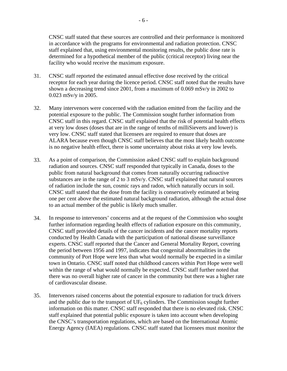CNSC staff stated that these sources are controlled and their performance is monitored in accordance with the programs for environmental and radiation protection. CNSC staff explained that, using environmental monitoring results, the public dose rate is determined for a hypothetical member of the public (critical receptor) living near the facility who would receive the maximum exposure.

- 31. CNSC staff reported the estimated annual effective dose received by the critical receptor for each year during the licence period. CNSC staff noted that the results have shown a decreasing trend since 2001, from a maximum of 0.069 mSv/y in 2002 to 0.023 mSv/y in 2005.
- 32. Many intervenors were concerned with the radiation emitted from the facility and the potential exposure to the public. The Commission sought further information from CNSC staff in this regard. CNSC staff explained that the risk of potential health effects at very low doses (doses that are in the range of tenths of milliSieverts and lower) is very low. CNSC staff stated that licensees are required to ensure that doses are ALARA because even though CNSC staff believes that the most likely health outcome is no negative health effect, there is some uncertainty about risks at very low levels.
- 33. As a point of comparison, the Commission asked CNSC staff to explain background radiation and sources. CNSC staff responded that typically in Canada, doses to the public from natural background that comes from naturally occurring radioactive substances are in the range of 2 to 3 mSv/y. CNSC staff explained that natural sources of radiation include the sun, cosmic rays and radon, which naturally occurs in soil. CNSC staff stated that the dose from the facility is conservatively estimated at being one per cent above the estimated natural background radiation, although the actual dose to an actual member of the public is likely much smaller.
- 34. In response to intervenors' concerns and at the request of the Commission who sought further information regarding health effects of radiation exposure on this community, CNSC staff provided details of the cancer incidents and the cancer mortality reports conducted by Health Canada with the participation of national disease surveillance experts. CNSC staff reported that the Cancer and General Mortality Report, covering the period between 1956 and 1997, indicates that congenital abnormalities in the community of Port Hope were less than what would normally be expected in a similar town in Ontario. CNSC staff noted that childhood cancers within Port Hope were well within the range of what would normally be expected. CNSC staff further noted that there was no overall higher rate of cancer in the community but there was a higher rate of cardiovascular disease.
- 35. Intervenors raised concerns about the potential exposure to radiation for truck drivers and the public due to the transport of  $UF_6$  cylinders. The Commission sought further information on this matter. CNSC staff responded that there is no elevated risk. CNSC staff explained that potential public exposure is taken into account when developing the CNSC's transportation regulations, which are based on the International Atomic Energy Agency (IAEA) regulations. CNSC staff stated that licensees must monitor the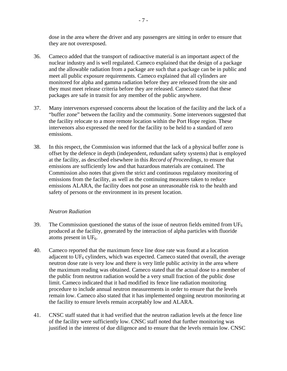dose in the area where the driver and any passengers are sitting in order to ensure that they are not overexposed.

- 36. Cameco added that the transport of radioactive material is an important aspect of the nuclear industry and is well regulated. Cameco explained that the design of a package and the allowable radiation from a package are such that a package can be in public and meet all public exposure requirements. Cameco explained that all cylinders are monitored for alpha and gamma radiation before they are released from the site and they must meet release criteria before they are released. Cameco stated that these packages are safe in transit for any member of the public anywhere.
- 37. Many intervenors expressed concerns about the location of the facility and the lack of a "buffer zone" between the facility and the community. Some intervenors suggested that the facility relocate to a more remote location within the Port Hope region. These intervenors also expressed the need for the facility to be held to a standard of zero emissions.
- 38. In this respect, the Commission was informed that the lack of a physical buffer zone is offset by the defence in depth (independent, redundant safety systems) that is employed at the facility, as described elsewhere in this *Record of Proceedings*, to ensure that emissions are sufficiently low and that hazardous materials are contained. The Commission also notes that given the strict and continuous regulatory monitoring of emissions from the facility, as well as the continuing measures taken to reduce emissions ALARA, the facility does not pose an unreasonable risk to the health and safety of persons or the environment in its present location.

#### *Neutron Radiation*

- 39. The Commission questioned the status of the issue of neutron fields emitted from  $UF_6$ produced at the facility, generated by the interaction of alpha particles with fluoride atoms present in  $UF_6$ .
- 40. Cameco reported that the maximum fence line dose rate was found at a location adjacent to  $UF_6$  cylinders, which was expected. Cameco stated that overall, the average neutron dose rate is very low and there is very little public activity in the area where the maximum reading was obtained. Cameco stated that the actual dose to a member of the public from neutron radiation would be a very small fraction of the public dose limit. Cameco indicated that it had modified its fence line radiation monitoring procedure to include annual neutron measurements in order to ensure that the levels remain low. Cameco also stated that it has implemented ongoing neutron monitoring at the facility to ensure levels remain acceptably low and ALARA.
- 41. CNSC staff stated that it had verified that the neutron radiation levels at the fence line of the facility were sufficiently low. CNSC staff noted that further monitoring was justified in the interest of due diligence and to ensure that the levels remain low. CNSC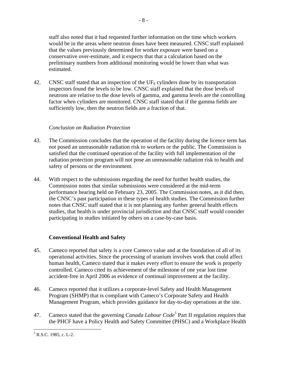staff also noted that it had requested further information on the time which workers would be in the areas where neutron doses have been measured. CNSC staff explained that the values previously determined for worker exposure were based on a conservative over-estimate, and it expects that that a calculation based on the preliminary numbers from additional monitoring would be lower than what was estimated.

42. CNSC staff stated that an inspection of the  $UF_6$  cylinders done by its transportation inspectors found the levels to be low. CNSC staff explained that the dose levels of neutrons are relative to the dose levels of gamma, and gamma levels are the controlling factor when cylinders are monitored. CNSC staff stated that if the gamma fields are sufficiently low, then the neutron fields are a fraction of that.

#### *Conclusion on Radiation Protection*

- 43. The Commission concludes that the operation of the facility during the licence term has not posed an unreasonable radiation risk to workers or the public. The Commission is satisfied that the continued operation of the facility with full implementation of the radiation protection program will not pose an unreasonable radiation risk to health and safety of persons or the environment.
- 44. With respect to the submissions regarding the need for further health studies, the Commission notes that similar submissions were considered at the mid-term performance hearing held on February 23, 2005. The Commission notes, as it did then, the CNSC's past participation in these types of health studies. The Commission further notes that CNSC staff stated that it is not planning any further general health effects studies, that health is under provincial jurisdiction and that CNSC staff would consider participating in studies initiated by others on a case-by-case basis.

## **Conventional Health and Safety**

- 45. Cameco reported that safety is a core Cameco value and at the foundation of all of its operational activities. Since the processing of uranium involves work that could affect human health, Cameco stated that it makes every effort to ensure the work is properly controlled. Cameco cited its achievement of the milestone of one year lost time accident-free in April 2006 as evidence of continual improvement at the facility.
- 46. Cameco reported that it utilizes a corporate-level Safety and Health Management Program (SHMP) that is compliant with Cameco's Corporate Safety and Health Management Program, which provides guidance for day-to-day operations at the site.
- 47. Cameco stated that the governing *Canada Labour Code<sup>5</sup>* Part II regulation requires that the PHCF have a Policy Health and Safety Committee (PHSC) and a Workplace Health

<sup>&</sup>lt;u>.</u>  $<sup>5</sup>$  R.S.C. 1985, c. L-2.</sup>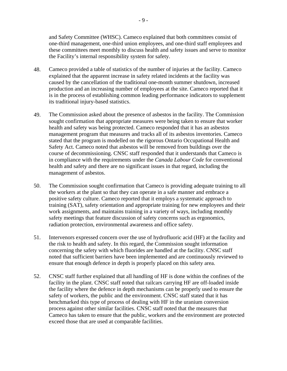and Safety Committee (WHSC). Cameco explained that both committees consist of one-third management, one-third union employees, and one-third staff employees and these committees meet monthly to discuss health and safety issues and serve to monitor the Facility's internal responsibility system for safety.

- 48. Cameco provided a table of statistics of the number of injuries at the facility. Cameco explained that the apparent increase in safety related incidents at the facility was caused by the cancellation of the traditional one-month summer shutdown, increased production and an increasing number of employees at the site. Cameco reported that it is in the process of establishing common leading performance indicators to supplement its traditional injury-based statistics.
- 49. The Commission asked about the presence of asbestos in the facility. The Commission sought confirmation that appropriate measures were being taken to ensure that worker health and safety was being protected. Cameco responded that it has an asbestos management program that measures and tracks all of its asbestos inventories. Cameco stated that the program is modelled on the rigorous Ontario Occupational Health and Safety Act. Cameco noted that asbestos will be removed from buildings over the course of decommissioning. CNSC staff responded that it understands that Cameco is in compliance with the requirements under the *Canada Labour Code* for conventional health and safety and there are no significant issues in that regard, including the management of asbestos.
- 50. The Commission sought confirmation that Cameco is providing adequate training to all the workers at the plant so that they can operate in a safe manner and embrace a positive safety culture. Cameco reported that it employs a systematic approach to training (SAT), safety orientation and appropriate training for new employees and their work assignments, and maintains training in a variety of ways, including monthly safety meetings that feature discussion of safety concerns such as ergonomics, radiation protection, environmental awareness and office safety.
- 51. Intervenors expressed concern over the use of hydrofluoric acid (HF) at the facility and the risk to health and safety. In this regard, the Commission sought information concerning the safety with which fluorides are handled at the facility. CNSC staff noted that sufficient barriers have been implemented and are continuously reviewed to ensure that enough defence in depth is properly placed on this safety area.
- 52. CNSC staff further explained that all handling of HF is done within the confines of the facility in the plant. CNSC staff noted that railcars carrying HF are off-loaded inside the facility where the defence in depth mechanisms can be properly used to ensure the safety of workers, the public and the environment. CNSC staff stated that it has benchmarked this type of process of dealing with HF in the uranium conversion process against other similar facilities. CNSC staff noted that the measures that Cameco has taken to ensure that the public, workers and the environment are protected exceed those that are used at comparable facilities.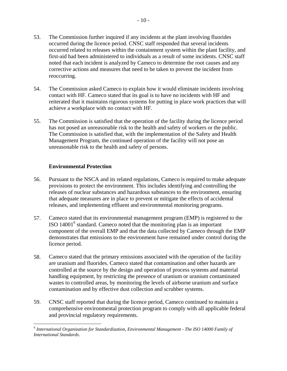- 53. The Commission further inquired if any incidents at the plant involving fluorides occurred during the licence period. CNSC staff responded that several incidents occurred related to releases within the containment system within the plant facility, and first-aid had been administered to individuals as a result of some incidents. CNSC staff noted that each incident is analyzed by Cameco to determine the root causes and any corrective actions and measures that need to be taken to prevent the incident from reoccurring.
- 54. The Commission asked Cameco to explain how it would eliminate incidents involving contact with HF. Cameco stated that its goal is to have no incidents with HF and reiterated that it maintains rigorous systems for putting in place work practices that will achieve a workplace with no contact with HF.
- 55. The Commission is satisfied that the operation of the facility during the licence period has not posed an unreasonable risk to the health and safety of workers or the public. The Commission is satisfied that, with the implementation of the Safety and Health Management Program, the continued operation of the facility will not pose an unreasonable risk to the health and safety of persons.

#### **Environmental Protection**

- 56. Pursuant to the NSCA and its related regulations, Cameco is required to make adequate provisions to protect the environment. This includes identifying and controlling the releases of nuclear substances and hazardous substances to the environment, ensuring that adequate measures are in place to prevent or mitigate the effects of accidental releases, and implementing effluent and environmental monitoring programs.
- 57. Cameco stated that its environmental management program (EMP) is registered to the ISO 14001<sup>6</sup> standard. Cameco noted that the monitoring plan is an important component of the overall EMP and that the data collected by Cameco through the EMP demonstrates that emissions to the environment have remained under control during the licence period.
- 58. Cameco stated that the primary emissions associated with the operation of the facility are uranium and fluorides. Cameco stated that contamination and other hazards are controlled at the source by the design and operation of process systems and material handling equipment, by restricting the presence of uranium or uranium contaminated wastes to controlled areas, by monitoring the levels of airborne uranium and surface contamination and by effective dust collection and scrubber systems.
- 59. CNSC staff reported that during the licence period, Cameco continued to maintain a comprehensive environmental protection program to comply with all applicable federal and provincial regulatory requirements.

 $\overline{a}$ <sup>6</sup>*International Organization for Standardization, Environmental Management - The ISO 14000 Family of International Standards*.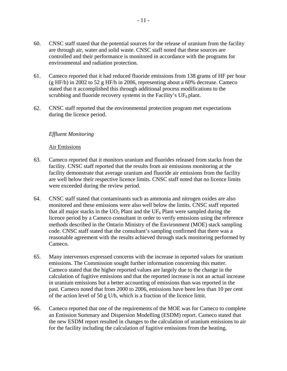- 60. CNSC staff stated that the potential sources for the release of uranium from the facility are through air, water and solid waste. CNSC staff noted that these sources are controlled and their performance is monitored in accordance with the programs for environmental and radiation protection.
- 61. Cameco reported that it had reduced fluoride emissions from 138 grams of HF per hour (g HF/h) in 2002 to 52 g HF/h in 2006, representing about a 60% decrease. Cameco stated that it accomplished this through additional process modifications to the scrubbing and fluoride recovery systems in the Facility's  $UF_6$  plant.
- 62. CNSC staff reported that the environmental protection program met expectations during the licence period.

#### *Effluent Monitoring*

#### Air Emissions

- 63. Cameco reported that it monitors uranium and fluorides released from stacks from the facility. CNSC staff reported that the results from air emissions monitoring at the facility demonstrate that average uranium and fluoride air emissions from the facility are well below their respective licence limits. CNSC staff noted that no licence limits were exceeded during the review period.
- 64. CNSC staff stated that contaminants such as ammonia and nitrogen oxides are also monitored and these emissions were also well below the limits. CNSC staff reported that all major stacks in the  $UO<sub>2</sub>$  Plant and the UF<sub>6</sub> Plant were sampled during the licence period by a Cameco consultant in order to verify emissions using the reference methods described in the Ontario Ministry of the Environment (MOE) stack sampling code. CNSC staff stated that the consultant's sampling confirmed that there was a reasonable agreement with the results achieved through stack monitoring performed by Cameco.
- 65. Many intervenors expressed concerns with the increase in reported values for uranium emissions. The Commission sought further information concerning this matter. Cameco stated that the higher reported values are largely due to the change in the calculation of fugitive emissions and that the reported increase is not an actual increase in uranium emissions but a better accounting of emissions than was reported in the past. Cameco noted that from 2000 to 2006, emissions have been less than 10 per cent of the action level of 50 g U/h, which is a fraction of the licence limit.
- 66. Cameco reported that one of the requirements of the MOE was for Cameco to complete an Emission Summary and Dispersion Modelling (ESDM) report. Cameco stated that the new ESDM report resulted in changes to the calculation of uranium emissions to air for the facility including the calculation of fugitive emissions from the heating,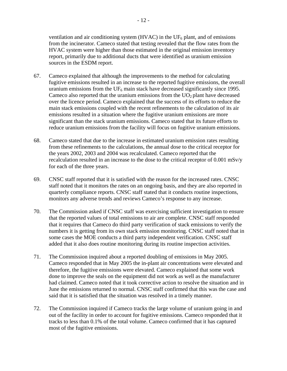ventilation and air conditioning system (HVAC) in the  $UF_6$  plant, and of emissions from the incinerator. Cameco stated that testing revealed that the flow rates from the HVAC system were higher than those estimated in the original emission inventory report, primarily due to additional ducts that were identified as uranium emission sources in the ESDM report.

- 67. Cameco explained that although the improvements to the method for calculating fugitive emissions resulted in an increase to the reported fugitive emissions, the overall uranium emissions from the  $UF_6$  main stack have decreased significantly since 1995. Cameco also reported that the uranium emissions from the  $UO<sub>2</sub>$  plant have decreased over the licence period. Cameco explained that the success of its efforts to reduce the main stack emissions coupled with the recent refinements to the calculation of its air emissions resulted in a situation where the fugitive uranium emissions are more significant than the stack uranium emissions. Cameco stated that its future efforts to reduce uranium emissions from the facility will focus on fugitive uranium emissions.
- 68. Cameco stated that due to the increase in estimated uranium emission rates resulting from these refinements to the calculations, the annual dose to the critical receptor for the years 2002, 2003 and 2004 was recalculated. Cameco reported that the recalculation resulted in an increase to the dose to the critical receptor of 0.001 mSv/y for each of the three years.
- 69. CNSC staff reported that it is satisfied with the reason for the increased rates. CNSC staff noted that it monitors the rates on an ongoing basis, and they are also reported in quarterly compliance reports. CNSC staff stated that it conducts routine inspections, monitors any adverse trends and reviews Cameco's response to any increase.
- 70. The Commission asked if CNSC staff was exercising sufficient investigation to ensure that the reported values of total emissions to air are complete. CNSC staff responded that it requires that Cameco do third party verification of stack emissions to verify the numbers it is getting from its own stack emission monitoring. CNSC staff noted that in some cases the MOE conducts a third party independent verification. CNSC staff added that it also does routine monitoring during its routine inspection activities.
- 71. The Commission inquired about a reported doubling of emissions in May 2005. Cameco responded that in May 2005 the in-plant air concentrations were elevated and therefore, the fugitive emissions were elevated. Cameco explained that some work done to improve the seals on the equipment did not work as well as the manufacturer had claimed. Cameco noted that it took corrective action to resolve the situation and in June the emissions returned to normal. CNSC staff confirmed that this was the case and said that it is satisfied that the situation was resolved in a timely manner.
- 72. The Commission inquired if Cameco tracks the large volume of uranium going in and out of the facility in order to account for fugitive emissions. Cameco responded that it tracks to less than 0.1% of the total volume. Cameco confirmed that it has captured most of the fugitive emissions.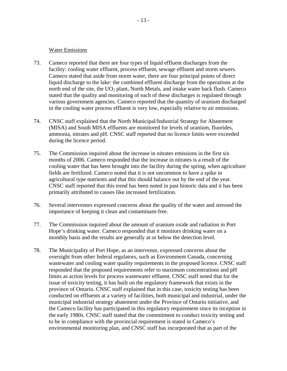#### Water Emissions

- 73. Cameco reported that there are four types of liquid effluent discharges from the facility: cooling water effluent, process effluent, sewage effluent and storm sewers. Cameco stated that aside from storm water, there are four principal points of direct liquid discharge to the lake: the combined effluent discharge from the operations at the north end of the site, the  $UO<sub>2</sub>$  plant, North Metals, and intake water back flush. Cameco stated that the quality and monitoring of each of these discharges is regulated through various government agencies. Cameco reported that the quantity of uranium discharged in the cooling water process effluent is very low, especially relative to air emissions.
- 74. CNSC staff explained that the North Municipal/Industrial Strategy for Abatement (MISA) and South MISA effluents are monitored for levels of uranium, fluorides, ammonia, nitrates and pH. CNSC staff reported that no licence limits were exceeded during the licence period.
- 75. The Commission inquired about the increase in nitrates emissions in the first six months of 2006. Cameco responded that the increase in nitrates is a result of the cooling water that has been brought into the facility during the spring, when agriculture fields are fertilized. Cameco noted that it is not uncommon to have a spike in agricultural type nutrients and that this should balance out by the end of the year. CNSC staff reported that this trend has been noted in past historic data and it has been primarily attributed to causes like increased fertilization.
- 76. Several intervenors expressed concerns about the quality of the water and stressed the importance of keeping it clean and contaminant-free.
- 77. The Commission inquired about the amount of uranium oxide and radiation in Port Hope's drinking water. Cameco responded that it monitors drinking water on a monthly basis and the results are generally at or below the detection level.
- 78. The Municipality of Port Hope, as an intervenor, expressed concerns about the oversight from other federal regulators, such as Environment Canada, concerning wastewater and cooling water quality requirements in the proposed licence. CNSC staff responded that the proposed requirements refer to maximum concentrations and pH limits as action levels for process wastewater effluent. CNSC staff noted that for the issue of toxicity testing, it has built on the regulatory framework that exists in the province of Ontario. CNSC staff explained that in this case, toxicity testing has been conducted on effluents at a variety of facilities, both municipal and industrial, under the municipal industrial strategy abatement under the Province of Ontario initiative, and the Cameco facility has participated in this regulatory requirement since its inception in the early 1980s. CNSC staff stated that the commitment to conduct toxicity testing and to be in compliance with the provincial requirement is stated in Cameco's environmental monitoring plan, and CNSC staff has incorporated that as part of the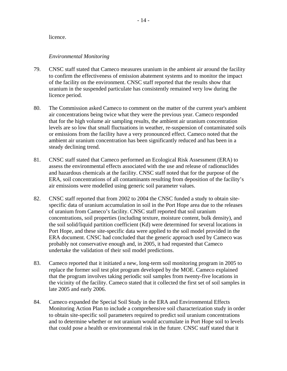#### licence.

#### *Environmental Monitoring*

- 79. CNSC staff stated that Cameco measures uranium in the ambient air around the facility to confirm the effectiveness of emission abatement systems and to monitor the impact of the facility on the environment. CNSC staff reported that the results show that uranium in the suspended particulate has consistently remained very low during the licence period.
- 80. The Commission asked Cameco to comment on the matter of the current year's ambient air concentrations being twice what they were the previous year. Cameco responded that for the high volume air sampling results, the ambient air uranium concentration levels are so low that small fluctuations in weather, re-suspension of contaminated soils or emissions from the facility have a very pronounced effect. Cameco noted that the ambient air uranium concentration has been significantly reduced and has been in a steady declining trend.
- 81. CNSC staff stated that Cameco performed an Ecological Risk Assessment (ERA) to assess the environmental effects associated with the use and release of radionuclides and hazardous chemicals at the facility. CNSC staff noted that for the purpose of the ERA, soil concentrations of all contaminants resulting from deposition of the facility's air emissions were modelled using generic soil parameter values.
- 82. CNSC staff reported that from 2002 to 2004 the CNSC funded a study to obtain sitespecific data of uranium accumulation in soil in the Port Hope area due to the releases of uranium from Cameco's facility. CNSC staff reported that soil uranium concentrations, soil properties (including texture, moisture content, bulk density), and the soil solid/liquid partition coefficient (Kd) were determined for several locations in Port Hope, and these site-specific data were applied to the soil model provided in the ERA document. CNSC had concluded that the generic approach used by Cameco was probably not conservative enough and, in 2005, it had requested that Cameco undertake the validation of their soil model predictions.
- 83. Cameco reported that it initiated a new, long-term soil monitoring program in 2005 to replace the former soil test plot program developed by the MOE. Cameco explained that the program involves taking periodic soil samples from twenty-five locations in the vicinity of the facility. Cameco stated that it collected the first set of soil samples in late 2005 and early 2006.
- 84. Cameco expanded the Special Soil Study in the ERA and Environmental Effects Monitoring Action Plan to include a comprehensive soil characterization study in order to obtain site-specific soil parameters required to predict soil uranium concentrations and to determine whether or not uranium would accumulate in Port Hope soil to levels that could pose a health or environmental risk in the future. CNSC staff stated that it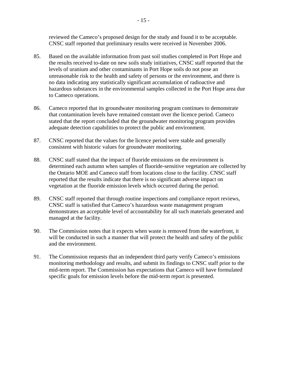reviewed the Cameco's proposed design for the study and found it to be acceptable. CNSC staff reported that preliminary results were received in November 2006.

- 85. Based on the available information from past soil studies completed in Port Hope and the results received to-date on new soils study initiatives, CNSC staff reported that the levels of uranium and other contaminants in Port Hope soils do not pose an unreasonable risk to the health and safety of persons or the environment, and there is no data indicating any statistically significant accumulation of radioactive and hazardous substances in the environmental samples collected in the Port Hope area due to Cameco operations.
- 86. Cameco reported that its groundwater monitoring program continues to demonstrate that contamination levels have remained constant over the licence period. Cameco stated that the report concluded that the groundwater monitoring program provides adequate detection capabilities to protect the public and environment.
- 87. CNSC reported that the values for the licence period were stable and generally consistent with historic values for groundwater monitoring.
- 88. CNSC staff stated that the impact of fluoride emissions on the environment is determined each autumn when samples of fluoride-sensitive vegetation are collected by the Ontario MOE and Cameco staff from locations close to the facility. CNSC staff reported that the results indicate that there is no significant adverse impact on vegetation at the fluoride emission levels which occurred during the period.
- 89. CNSC staff reported that through routine inspections and compliance report reviews, CNSC staff is satisfied that Cameco's hazardous waste management program demonstrates an acceptable level of accountability for all such materials generated and managed at the facility.
- 90. The Commission notes that it expects when waste is removed from the waterfront, it will be conducted in such a manner that will protect the health and safety of the public and the environment.
- 91. The Commission requests that an independent third party verify Cameco's emissions monitoring methodology and results, and submit its findings to CNSC staff prior to the mid-term report. The Commission has expectations that Cameco will have formulated specific goals for emission levels before the mid-term report is presented.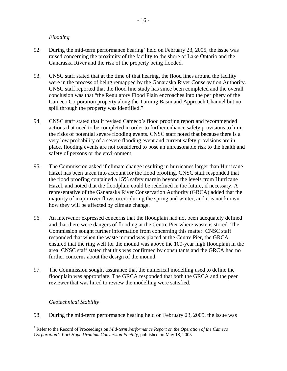#### *Flooding*

- 92. During the mid-term performance hearing<sup>7</sup> held on February 23, 2005, the issue was raised concerning the proximity of the facility to the shore of Lake Ontario and the Ganaraska River and the risk of the property being flooded.
- 93. CNSC staff stated that at the time of that hearing, the flood lines around the facility were in the process of being remapped by the Ganaraska River Conservation Authority. CNSC staff reported that the flood line study has since been completed and the overall conclusion was that "the Regulatory Flood Plain encroaches into the periphery of the Cameco Corporation property along the Turning Basin and Approach Channel but no spill through the property was identified."
- 94. CNSC staff stated that it revised Cameco's flood proofing report and recommended actions that need to be completed in order to further enhance safety provisions to limit the risks of potential severe flooding events. CNSC staff noted that because there is a very low probability of a severe flooding event and current safety provisions are in place, flooding events are not considered to pose an unreasonable risk to the health and safety of persons or the environment.
- 95. The Commission asked if climate change resulting in hurricanes larger than Hurricane Hazel has been taken into account for the flood proofing. CNSC staff responded that the flood proofing contained a 15% safety margin beyond the levels from Hurricane Hazel, and noted that the floodplain could be redefined in the future, if necessary. A representative of the Ganaraska River Conservation Authority (GRCA) added that the majority of major river flows occur during the spring and winter, and it is not known how they will be affected by climate change.
- 96. An intervenor expressed concerns that the floodplain had not been adequately defined and that there were dangers of flooding at the Centre Pier where waste is stored. The Commission sought further information from concerning this matter. CNSC staff responded that when the waste mound was placed at the Centre Pier, the GRCA ensured that the ring well for the mound was above the 100-year high floodplain in the area. CNSC staff stated that this was confirmed by consultants and the GRCA had no further concerns about the design of the mound.
- 97. The Commission sought assurance that the numerical modelling used to define the floodplain was appropriate. The GRCA responded that both the GRCA and the peer reviewer that was hired to review the modelling were satisfied.

#### *Geotechnical Stability*

1

98. During the mid-term performance hearing held on February 23, 2005, the issue was

<sup>7</sup> Refer to the Record of Proceedings on *Mid-term Performance Report on the Operation of the Cameco Corporation's Port Hope Uranium Conversion Facility*, published on May 18, 2005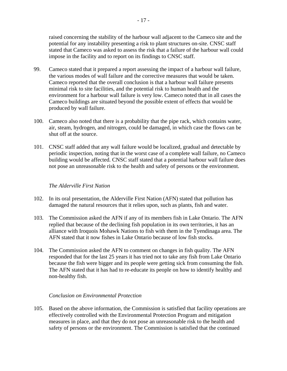raised concerning the stability of the harbour wall adjacent to the Cameco site and the potential for any instability presenting a risk to plant structures on-site. CNSC staff stated that Cameco was asked to assess the risk that a failure of the harbour wall could impose in the facility and to report on its findings to CNSC staff.

- 99. Cameco stated that it prepared a report assessing the impact of a harbour wall failure, the various modes of wall failure and the corrective measures that would be taken. Cameco reported that the overall conclusion is that a harbour wall failure presents minimal risk to site facilities, and the potential risk to human health and the environment for a harbour wall failure is very low. Cameco noted that in all cases the Cameco buildings are situated beyond the possible extent of effects that would be produced by wall failure.
- 100. Cameco also noted that there is a probability that the pipe rack, which contains water, air, steam, hydrogen, and nitrogen, could be damaged, in which case the flows can be shut off at the source.
- 101. CNSC staff added that any wall failure would be localized, gradual and detectable by periodic inspection, noting that in the worst case of a complete wall failure, no Cameco building would be affected. CNSC staff stated that a potential harbour wall failure does not pose an unreasonable risk to the health and safety of persons or the environment.

#### *The Alderville First Nation*

- 102. In its oral presentation, the Alderville First Nation (AFN) stated that pollution has damaged the natural resources that it relies upon, such as plants, fish and water.
- 103. The Commission asked the AFN if any of its members fish in Lake Ontario. The AFN replied that because of the declining fish population in its own territories, it has an alliance with Iroquois Mohawk Nations to fish with them in the Tyendinaga area. The AFN stated that it now fishes in Lake Ontario because of low fish stocks.
- 104. The Commission asked the AFN to comment on changes in fish quality. The AFN responded that for the last 25 years it has tried not to take any fish from Lake Ontario because the fish were bigger and its people were getting sick from consuming the fish. The AFN stated that it has had to re-educate its people on how to identify healthy and non-healthy fish.

#### *Conclusion on Environmental Protection*

105. Based on the above information, the Commission is satisfied that facility operations are effectively controlled with the Environmental Protection Program and mitigation measures in place, and that they do not pose an unreasonable risk to the health and safety of persons or the environment. The Commission is satisfied that the continued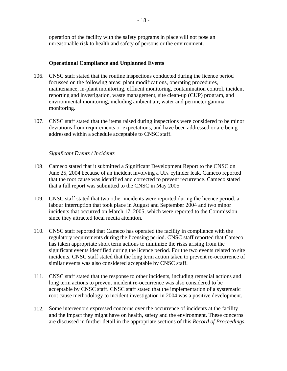operation of the facility with the safety programs in place will not pose an unreasonable risk to health and safety of persons or the environment.

#### **Operational Compliance and Unplanned Events**

- 106. CNSC staff stated that the routine inspections conducted during the licence period focussed on the following areas: plant modifications, operating procedures, maintenance, in-plant monitoring, effluent monitoring, contamination control, incident reporting and investigation, waste management, site clean-up (CUP) program, and environmental monitoring, including ambient air, water and perimeter gamma monitoring.
- 107. CNSC staff stated that the items raised during inspections were considered to be minor deviations from requirements or expectations, and have been addressed or are being addressed within a schedule acceptable to CNSC staff.

#### *Significant Events / Incidents*

- 108. Cameco stated that it submitted a Significant Development Report to the CNSC on June 25, 2004 because of an incident involving a  $UF_6$  cylinder leak. Cameco reported that the root cause was identified and corrected to prevent recurrence. Cameco stated that a full report was submitted to the CNSC in May 2005.
- 109. CNSC staff stated that two other incidents were reported during the licence period: a labour interruption that took place in August and September 2004 and two minor incidents that occurred on March 17, 2005, which were reported to the Commission since they attracted local media attention.
- 110. CNSC staff reported that Cameco has operated the facility in compliance with the regulatory requirements during the licensing period. CNSC staff reported that Cameco has taken appropriate short term actions to minimize the risks arising from the significant events identified during the licence period. For the two events related to site incidents, CNSC staff stated that the long term action taken to prevent re-occurrence of similar events was also considered acceptable by CNSC staff.
- 111. CNSC staff stated that the response to other incidents, including remedial actions and long term actions to prevent incident re-occurrence was also considered to be acceptable by CNSC staff. CNSC staff stated that the implementation of a systematic root cause methodology to incident investigation in 2004 was a positive development.
- 112. Some intervenors expressed concerns over the occurrence of incidents at the facility and the impact they might have on health, safety and the environment. These concerns are discussed in further detail in the appropriate sections of this *Record of Proceedings.*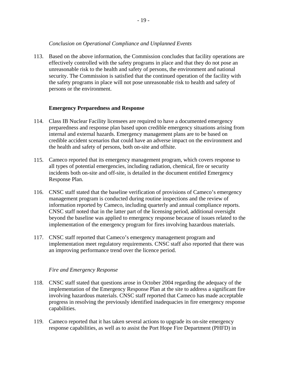#### *Conclusion on Operational Compliance and Unplanned Events*

113. Based on the above information, the Commission concludes that facility operations are effectively controlled with the safety programs in place and that they do not pose an unreasonable risk to the health and safety of persons, the environment and national security. The Commission is satisfied that the continued operation of the facility with the safety programs in place will not pose unreasonable risk to health and safety of persons or the environment.

#### **Emergency Preparedness and Response**

- 114. Class IB Nuclear Facility licensees are required to have a documented emergency preparedness and response plan based upon credible emergency situations arising from internal and external hazards. Emergency management plans are to be based on credible accident scenarios that could have an adverse impact on the environment and the health and safety of persons, both on-site and offsite.
- 115. Cameco reported that its emergency management program, which covers response to all types of potential emergencies, including radiation, chemical, fire or security incidents both on-site and off-site, is detailed in the document entitled Emergency Response Plan.
- 116. CNSC staff stated that the baseline verification of provisions of Cameco's emergency management program is conducted during routine inspections and the review of information reported by Cameco, including quarterly and annual compliance reports. CNSC staff noted that in the latter part of the licensing period, additional oversight beyond the baseline was applied to emergency response because of issues related to the implementation of the emergency program for fires involving hazardous materials.
- 117. CNSC staff reported that Cameco's emergency management program and implementation meet regulatory requirements. CNSC staff also reported that there was an improving performance trend over the licence period.

#### *Fire and Emergency Response*

- 118. CNSC staff stated that questions arose in October 2004 regarding the adequacy of the implementation of the Emergency Response Plan at the site to address a significant fire involving hazardous materials. CNSC staff reported that Cameco has made acceptable progress in resolving the previously identified inadequacies in fire emergency response capabilities.
- 119. Cameco reported that it has taken several actions to upgrade its on-site emergency response capabilities, as well as to assist the Port Hope Fire Department (PHFD) in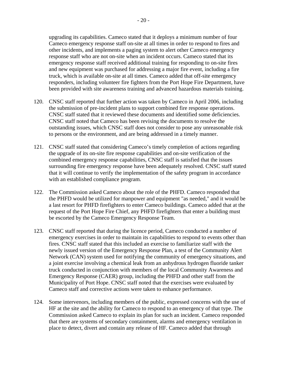upgrading its capabilities. Cameco stated that it deploys a minimum number of four Cameco emergency response staff on-site at all times in order to respond to fires and other incidents, and implements a paging system to alert other Cameco emergency response staff who are not on-site when an incident occurs. Cameco stated that its emergency response staff received additional training for responding to on-site fires and new equipment was purchased for addressing a major fire event, including a fire truck, which is available on-site at all times. Cameco added that off-site emergency responders, including volunteer fire fighters from the Port Hope Fire Department, have been provided with site awareness training and advanced hazardous materials training.

- 120. CNSC staff reported that further action was taken by Cameco in April 2006, including the submission of pre-incident plans to support combined fire response operations. CNSC staff stated that it reviewed these documents and identified some deficiencies. CNSC staff noted that Cameco has been revising the documents to resolve the outstanding issues, which CNSC staff does not consider to pose any unreasonable risk to persons or the environment, and are being addressed in a timely manner.
- 121. CNSC staff stated that considering Cameco's timely completion of actions regarding the upgrade of its on-site fire response capabilities and on-site verification of the combined emergency response capabilities, CNSC staff is satisfied that the issues surrounding fire emergency response have been adequately resolved. CNSC staff stated that it will continue to verify the implementation of the safety program in accordance with an established compliance program.
- 122. The Commission asked Cameco about the role of the PHFD. Cameco responded that the PHFD would be utilized for manpower and equipment "as needed," and it would be a last resort for PHFD firefighters to enter Cameco buildings. Cameco added that at the request of the Port Hope Fire Chief, any PHFD firefighters that enter a building must be escorted by the Cameco Emergency Response Team.
- 123. CNSC staff reported that during the licence period, Cameco conducted a number of emergency exercises in order to maintain its capabilities to respond to events other than fires. CNSC staff stated that this included an exercise to familiarize staff with the newly issued version of the Emergency Response Plan, a test of the Community Alert Network (CAN) system used for notifying the community of emergency situations, and a joint exercise involving a chemical leak from an anhydrous hydrogen fluoride tanker truck conducted in conjunction with members of the local Community Awareness and Emergency Response (CAER) group, including the PHFD and other staff from the Municipality of Port Hope. CNSC staff noted that the exercises were evaluated by Cameco staff and corrective actions were taken to enhance performance.
- 124. Some intervenors, including members of the public, expressed concerns with the use of HF at the site and the ability for Cameco to respond to an emergency of that type. The Commission asked Cameco to explain its plan for such an incident. Cameco responded that there are systems of secondary containment, alarms and emergency ventilation in place to detect, divert and contain any release of HF. Cameco added that through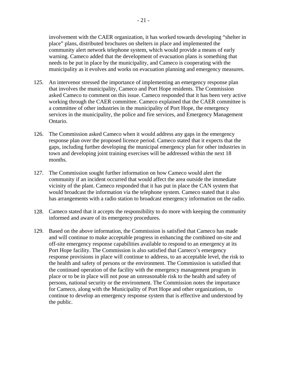involvement with the CAER organization, it has worked towards developing "shelter in place" plans, distributed brochures on shelters in place and implemented the community alert network telephone system, which would provide a means of early warning. Cameco added that the development of evacuation plans is something that needs to be put in place by the municipality, and Cameco is cooperating with the municipality as it evolves and works on evacuation planning and emergency measures.

- 125. An intervenor stressed the importance of implementing an emergency response plan that involves the municipality, Cameco and Port Hope residents. The Commission asked Cameco to comment on this issue. Cameco responded that it has been very active working through the CAER committee. Cameco explained that the CAER committee is a committee of other industries in the municipality of Port Hope, the emergency services in the municipality, the police and fire services, and Emergency Management Ontario.
- 126. The Commission asked Cameco when it would address any gaps in the emergency response plan over the proposed licence period. Cameco stated that it expects that the gaps, including further developing the municipal emergency plan for other industries in town and developing joint training exercises will be addressed within the next 18 months.
- 127. The Commission sought further information on how Cameco would alert the community if an incident occurred that would affect the area outside the immediate vicinity of the plant. Cameco responded that it has put in place the CAN system that would broadcast the information via the telephone system. Cameco stated that it also has arrangements with a radio station to broadcast emergency information on the radio.
- 128. Cameco stated that it accepts the responsibility to do more with keeping the community informed and aware of its emergency procedures.
- 129. Based on the above information, the Commission is satisfied that Cameco has made and will continue to make acceptable progress in enhancing the combined on-site and off-site emergency response capabilities available to respond to an emergency at its Port Hope facility. The Commission is also satisfied that Cameco's emergency response provisions in place will continue to address, to an acceptable level, the risk to the health and safety of persons or the environment. The Commission is satisfied that the continued operation of the facility with the emergency management program in place or to be in place will not pose an unreasonable risk to the health and safety of persons, national security or the environment. The Commission notes the importance for Cameco, along with the Municipality of Port Hope and other organizations, to continue to develop an emergency response system that is effective and understood by the public.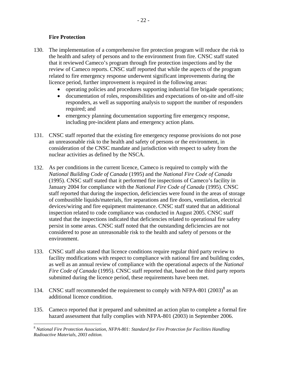#### **Fire Protection**

 $\overline{a}$ 

- 130. The implementation of a comprehensive fire protection program will reduce the risk to the health and safety of persons and to the environment from fire. CNSC staff stated that it reviewed Cameco's program through fire protection inspections and by the review of Cameco reports. CNSC staff reported that while the aspects of the program related to fire emergency response underwent significant improvements during the licence period, further improvement is required in the following areas:
	- • operating policies and procedures supporting industrial fire brigade operations;
	- documentation of roles, responsibilities and expectations of on-site and off-site responders, as well as supporting analysis to support the number of responders required; and
	- emergency planning documentation supporting fire emergency response, including pre-incident plans and emergency action plans.
- 131. CNSC staff reported that the existing fire emergency response provisions do not pose an unreasonable risk to the health and safety of persons or the environment, in consideration of the CNSC mandate and jurisdiction with respect to safety from the nuclear activities as defined by the NSCA.
- 132. As per conditions in the current licence, Cameco is required to comply with the *National Building Code of Canada* (1995) and the *National Fire Code of Canada*  (1995). CNSC staff stated that it performed fire inspections of Cameco's facility in January 2004 for compliance with the *National Fire Code of Canada* (1995). CNSC staff reported that during the inspection, deficiencies were found in the areas of storage of combustible liquids/materials, fire separations and fire doors, ventilation, electrical devices/wiring and fire equipment maintenance. CNSC staff stated that an additional inspection related to code compliance was conducted in August 2005. CNSC staff stated that the inspections indicated that deficiencies related to operational fire safety persist in some areas. CNSC staff noted that the outstanding deficiencies are not considered to pose an unreasonable risk to the health and safety of persons or the environment.
- 133. CNSC staff also stated that licence conditions require regular third party review to facility modifications with respect to compliance with national fire and building codes, as well as an annual review of compliance with the operational aspects of the *National Fire Code of Canada* (1995). CNSC staff reported that, based on the third party reports submitted during the licence period, these requirements have been met.
- 134. CNSC staff recommended the requirement to comply with NFPA-801  $(2003)^8$  as an additional licence condition.
- 135. Cameco reported that it prepared and submitted an action plan to complete a formal fire hazard assessment that fully complies with NFPA-801 (2003) in September 2006.

<sup>8</sup>*National Fire Protection Association, NFPA-801: Standard for Fire Protection for Facilities Handling Radioactive Materials, 2003 edition.*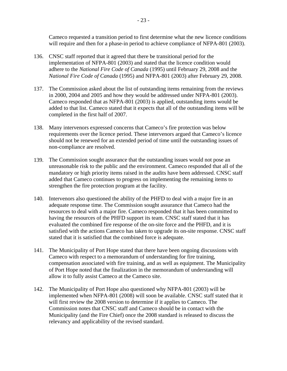Cameco requested a transition period to first determine what the new licence conditions will require and then for a phase-in period to achieve compliance of NFPA-801 (2003).

- 136. CNSC staff reported that it agreed that there be transitional period for the implementation of NFPA-801 (2003) and stated that the licence condition would adhere to the *National Fire Code of Canada* (1995) until February 29, 2008 and the *National Fire Code of Canada* (1995) and NFPA-801 (2003) after February 29, 2008.
- 137. The Commission asked about the list of outstanding items remaining from the reviews in 2000, 2004 and 2005 and how they would be addressed under NFPA-801 (2003). Cameco responded that as NFPA-801 (2003) is applied, outstanding items would be added to that list. Cameco stated that it expects that all of the outstanding items will be completed in the first half of 2007.
- 138. Many intervenors expressed concerns that Cameco's fire protection was below requirements over the licence period. These intervenors argued that Cameco's licence should not be renewed for an extended period of time until the outstanding issues of non-compliance are resolved.
- 139. The Commission sought assurance that the outstanding issues would not pose an unreasonable risk to the public and the environment. Cameco responded that all of the mandatory or high priority items raised in the audits have been addressed. CNSC staff added that Cameco continues to progress on implementing the remaining items to strengthen the fire protection program at the facility.
- 140. Intervenors also questioned the ability of the PHFD to deal with a major fire in an adequate response time. The Commission sought assurance that Cameco had the resources to deal with a major fire. Cameco responded that it has been committed to having the resources of the PHFD support its team. CNSC staff stated that it has evaluated the combined fire response of the on-site force and the PHFD, and it is satisfied with the actions Cameco has taken to upgrade its on-site response. CNSC staff stated that it is satisfied that the combined force is adequate.
- 141. The Municipality of Port Hope stated that there have been ongoing discussions with Cameco with respect to a memorandum of understanding for fire training, compensation associated with fire training, and as well as equipment. The Municipality of Port Hope noted that the finalization in the memorandum of understanding will allow it to fully assist Cameco at the Cameco site.
- 142. The Municipality of Port Hope also questioned why NFPA-801 (2003) will be implemented when NFPA-801 (2008) will soon be available. CNSC staff stated that it will first review the 2008 version to determine if it applies to Cameco. The Commission notes that CNSC staff and Cameco should be in contact with the Municipality (and the Fire Chief) once the 2008 standard is released to discuss the relevancy and applicability of the revised standard.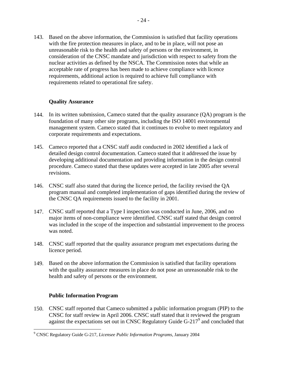143. Based on the above information, the Commission is satisfied that facility operations with the fire protection measures in place, and to be in place, will not pose an unreasonable risk to the health and safety of persons or the environment, in consideration of the CNSC mandate and jurisdiction with respect to safety from the nuclear activities as defined by the NSCA. The Commission notes that while an acceptable rate of progress has been made to achieve compliance with licence requirements, additional action is required to achieve full compliance with requirements related to operational fire safety.

#### **Quality Assurance**

- 144. In its written submission, Cameco stated that the quality assurance (QA) program is the foundation of many other site programs, including the ISO 14001 environmental management system. Cameco stated that it continues to evolve to meet regulatory and corporate requirements and expectations.
- 145. Cameco reported that a CNSC staff audit conducted in 2002 identified a lack of detailed design control documentation. Cameco stated that it addressed the issue by developing additional documentation and providing information in the design control procedure. Cameco stated that these updates were accepted in late 2005 after several revisions.
- 146. CNSC staff also stated that during the licence period, the facility revised the QA program manual and completed implementation of gaps identified during the review of the CNSC QA requirements issued to the facility in 2001.
- 147. CNSC staff reported that a Type I inspection was conducted in June, 2006, and no major items of non-compliance were identified. CNSC staff stated that design control was included in the scope of the inspection and substantial improvement to the process was noted.
- 148. CNSC staff reported that the quality assurance program met expectations during the licence period.
- 149. Based on the above information the Commission is satisfied that facility operations with the quality assurance measures in place do not pose an unreasonable risk to the health and safety of persons or the environment.

#### **Public Information Program**

 $\overline{a}$ 

150. CNSC staff reported that Cameco submitted a public information program (PIP) to the CNSC for staff review in April 2006. CNSC staff stated that it reviewed the program against the expectations set out in CNSC Regulatory Guide G-217<sup>9</sup> and concluded that

<sup>9</sup> CNSC Regulatory Guide G-217, *Licensee Public Information Programs*, January 2004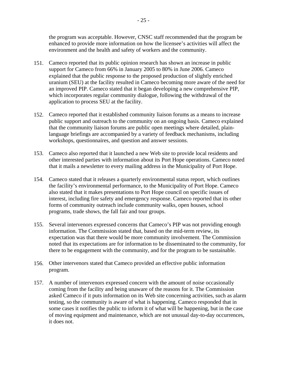the program was acceptable. However, CNSC staff recommended that the program be enhanced to provide more information on how the licensee's activities will affect the environment and the health and safety of workers and the community.

- 151. Cameco reported that its public opinion research has shown an increase in public support for Cameco from 66% in January 2005 to 80% in June 2006. Cameco explained that the public response to the proposed production of slightly enriched uranium (SEU) at the facility resulted in Cameco becoming more aware of the need for an improved PIP. Cameco stated that it began developing a new comprehensive PIP, which incorporates regular community dialogue, following the withdrawal of the application to process SEU at the facility.
- 152. Cameco reported that it established community liaison forums as a means to increase public support and outreach to the community on an ongoing basis. Cameco explained that the community liaison forums are public open meetings where detailed, plainlanguage briefings are accompanied by a variety of feedback mechanisms, including workshops, questionnaires, and question and answer sessions.
- 153. Cameco also reported that it launched a new Web site to provide local residents and other interested parties with information about its Port Hope operations. Cameco noted that it mails a newsletter to every mailing address in the Municipality of Port Hope.
- 154. Cameco stated that it releases a quarterly environmental status report, which outlines the facility's environmental performance, to the Municipality of Port Hope. Cameco also stated that it makes presentations to Port Hope council on specific issues of interest, including fire safety and emergency response. Cameco reported that its other forms of community outreach include community walks, open houses, school programs, trade shows, the fall fair and tour groups.
- 155. Several intervenors expressed concerns that Cameco's PIP was not providing enough information. The Commission stated that, based on the mid-term review, its expectation was that there would be more community involvement. The Commission noted that its expectations are for information to be disseminated to the community, for there to be engagement with the community, and for the program to be sustainable.
- 156. Other intervenors stated that Cameco provided an effective public information program.
- 157. A number of intervenors expressed concern with the amount of noise occasionally coming from the facility and being unaware of the reasons for it. The Commission asked Cameco if it puts information on its Web site concerning activities, such as alarm testing, so the community is aware of what is happening. Cameco responded that in some cases it notifies the public to inform it of what will be happening, but in the case of moving equipment and maintenance, which are not unusual day-to-day occurrences, it does not.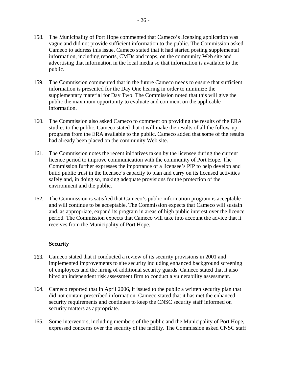- 158. The Municipality of Port Hope commented that Cameco's licensing application was vague and did not provide sufficient information to the public. The Commission asked Cameco to address this issue. Cameco stated that it had started posting supplemental information, including reports, CMDs and maps, on the community Web site and advertising that information in the local media so that information is available to the public.
- 159. The Commission commented that in the future Cameco needs to ensure that sufficient information is presented for the Day One hearing in order to minimize the supplementary material for Day Two. The Commission noted that this will give the public the maximum opportunity to evaluate and comment on the applicable information.
- 160. The Commission also asked Cameco to comment on providing the results of the ERA studies to the public. Cameco stated that it will make the results of all the follow-up programs from the ERA available to the public. Cameco added that some of the results had already been placed on the community Web site.
- 161. The Commission notes the recent initiatives taken by the licensee during the current licence period to improve communication with the community of Port Hope. The Commission further expresses the importance of a licensee's PIP to help develop and build public trust in the licensee's capacity to plan and carry on its licensed activities safely and, in doing so, making adequate provisions for the protection of the environment and the public.
- 162. The Commission is satisfied that Cameco's public information program is acceptable and will continue to be acceptable. The Commission expects that Cameco will sustain and, as appropriate, expand its program in areas of high public interest over the licence period. The Commission expects that Cameco will take into account the advice that it receives from the Municipality of Port Hope.

#### **Security**

- 163. Cameco stated that it conducted a review of its security provisions in 2001 and implemented improvements to site security including enhanced background screening of employees and the hiring of additional security guards. Cameco stated that it also hired an independent risk assessment firm to conduct a vulnerability assessment.
- 164. Cameco reported that in April 2006, it issued to the public a written security plan that did not contain prescribed information. Cameco stated that it has met the enhanced security requirements and continues to keep the CNSC security staff informed on security matters as appropriate.
- 165. Some intervenors, including members of the public and the Municipality of Port Hope, expressed concerns over the security of the facility. The Commission asked CNSC staff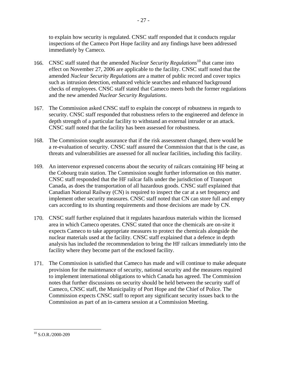to explain how security is regulated. CNSC staff responded that it conducts regular inspections of the Cameco Port Hope facility and any findings have been addressed immediately by Cameco.

- 166. CNSC staff stated that the amended *Nuclear Security Regulations*10 that came into effect on November 27, 2006 are applicable to the facility. CNSC staff noted that the amended *Nuclear Security Regulations* are a matter of public record and cover topics such as intrusion detection, enhanced vehicle searches and enhanced background checks of employees. CNSC staff stated that Cameco meets both the former regulations and the new amended *Nuclear Security Regulations*.
- 167. The Commission asked CNSC staff to explain the concept of robustness in regards to security. CNSC staff responded that robustness refers to the engineered and defence in depth strength of a particular facility to withstand an external intruder or an attack. CNSC staff noted that the facility has been assessed for robustness.
- 168. The Commission sought assurance that if the risk assessment changed, there would be a re-evaluation of security. CNSC staff assured the Commission that that is the case, as threats and vulnerabilities are assessed for all nuclear facilities, including this facility.
- 169. An intervenor expressed concerns about the security of railcars containing HF being at the Cobourg train station. The Commission sought further information on this matter. CNSC staff responded that the HF railcar falls under the jurisdiction of Transport Canada, as does the transportation of all hazardous goods. CNSC staff explained that Canadian National Railway (CN) is required to inspect the car at a set frequency and implement other security measures. CNSC staff noted that CN can store full and empty cars according to its shunting requirements and those decisions are made by CN.
- 170. CNSC staff further explained that it regulates hazardous materials within the licensed area in which Cameco operates. CNSC stated that once the chemicals are on-site it expects Cameco to take appropriate measures to protect the chemicals alongside the nuclear materials used at the facility. CNSC staff explained that a defence in depth analysis has included the recommendation to bring the HF railcars immediately into the facility where they become part of the enclosed facility.
- 171. The Commission is satisfied that Cameco has made and will continue to make adequate provision for the maintenance of security, national security and the measures required to implement international obligations to which Canada has agreed. The Commission notes that further discussions on security should be held between the security staff of Cameco, CNSC staff, the Municipality of Port Hope and the Chief of Police. The Commission expects CNSC staff to report any significant security issues back to the Commission as part of an in-camera session at a Commission Meeting.

<sup>&</sup>lt;u>.</u>  $10$  S.O.R./2000-209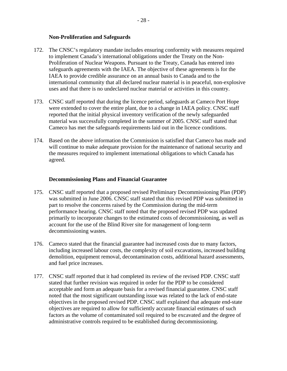#### **Non-Proliferation and Safeguards**

- 172. The CNSC's regulatory mandate includes ensuring conformity with measures required to implement Canada's international obligations under the Treaty on the Non-Proliferation of Nuclear Weapons. Pursuant to the Treaty, Canada has entered into safeguards agreements with the IAEA. The objective of these agreements is for the IAEA to provide credible assurance on an annual basis to Canada and to the international community that all declared nuclear material is in peaceful, non-explosive uses and that there is no undeclared nuclear material or activities in this country.
- 173. CNSC staff reported that during the licence period, safeguards at Cameco Port Hope were extended to cover the entire plant, due to a change in IAEA policy. CNSC staff reported that the initial physical inventory verification of the newly safeguarded material was successfully completed in the summer of 2005. CNSC staff stated that Cameco has met the safeguards requirements laid out in the licence conditions.
- 174. Based on the above information the Commission is satisfied that Cameco has made and will continue to make adequate provision for the maintenance of national security and the measures required to implement international obligations to which Canada has agreed.

#### **Decommissioning Plans and Financial Guarantee**

- 175. CNSC staff reported that a proposed revised Preliminary Decommissioning Plan (PDP) was submitted in June 2006. CNSC staff stated that this revised PDP was submitted in part to resolve the concerns raised by the Commission during the mid-term performance hearing. CNSC staff noted that the proposed revised PDP was updated primarily to incorporate changes to the estimated costs of decommissioning, as well as account for the use of the Blind River site for management of long-term decommissioning wastes.
- 176. Cameco stated that the financial guarantee had increased costs due to many factors, including increased labour costs, the complexity of soil excavations, increased building demolition, equipment removal, decontamination costs, additional hazard assessments, and fuel price increases.
- 177. CNSC staff reported that it had completed its review of the revised PDP. CNSC staff stated that further revision was required in order for the PDP to be considered acceptable and form an adequate basis for a revised financial guarantee. CNSC staff noted that the most significant outstanding issue was related to the lack of end-state objectives in the proposed revised PDP. CNSC staff explained that adequate end-state objectives are required to allow for sufficiently accurate financial estimates of such factors as the volume of contaminated soil required to be excavated and the degree of administrative controls required to be established during decommissioning.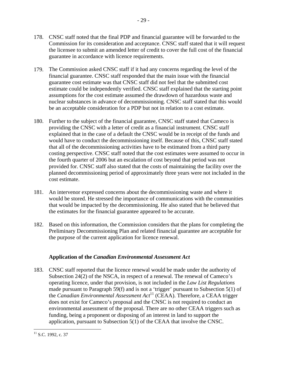- 178. CNSC staff noted that the final PDP and financial guarantee will be forwarded to the Commission for its consideration and acceptance. CNSC staff stated that it will request the licensee to submit an amended letter of credit to cover the full cost of the financial guarantee in accordance with licence requirements.
- 179. The Commission asked CNSC staff if it had any concerns regarding the level of the financial guarantee. CNSC staff responded that the main issue with the financial guarantee cost estimate was that CNSC staff did not feel that the submitted cost estimate could be independently verified. CNSC staff explained that the starting point assumptions for the cost estimate assumed the drawdown of hazardous waste and nuclear substances in advance of decommissioning. CNSC staff stated that this would be an acceptable consideration for a PDP but not in relation to a cost estimate.
- 180. Further to the subject of the financial guarantee, CNSC staff stated that Cameco is providing the CNSC with a letter of credit as a financial instrument. CNSC staff explained that in the case of a default the CNSC would be in receipt of the funds and would have to conduct the decommissioning itself. Because of this, CNSC staff stated that all of the decommissioning activities have to be estimated from a third party costing perspective. CNSC staff noted that the cost estimates were assumed to occur in the fourth quarter of 2006 but an escalation of cost beyond that period was not provided for. CNSC staff also stated that the costs of maintaining the facility over the planned decommissioning period of approximately three years were not included in the cost estimate.
- 181. An intervenor expressed concerns about the decommissioning waste and where it would be stored. He stressed the importance of communications with the communities that would be impacted by the decommissioning. He also stated that he believed that the estimates for the financial guarantee appeared to be accurate.
- 182. Based on this information, the Commission considers that the plans for completing the Preliminary Decommissioning Plan and related financial guarantee are acceptable for the purpose of the current application for licence renewal.

## **Application of the** *Canadian Environmental Assessment Act*

183. CNSC staff reported that the licence renewal would be made under the authority of Subsection 24(2) of the NSCA, in respect of a renewal. The renewal of Cameco's operating licence, under that provision, is not included in the *Law List Regulations*  made pursuant to Paragraph 59(f) and is not a 'trigger' pursuant to Subsection 5(1) of the *Canadian Environmental Assessment Act*<sup>11</sup> (CEAA). Therefore, a CEAA trigger does not exist for Cameco's proposal and the CNSC is not required to conduct an environmental assessment of the proposal. There are no other CEAA triggers such as funding, being a proponent or disposing of an interest in land to support the application, pursuant to Subsection 5(1) of the CEAA that involve the CNSC.

 $\overline{a}$  $11$  S.C. 1992, c. 37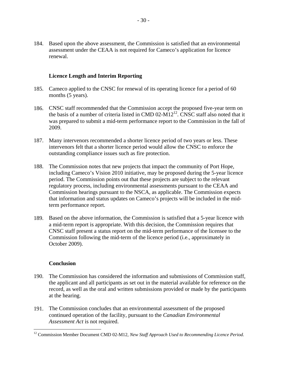184. Based upon the above assessment, the Commission is satisfied that an environmental assessment under the CEAA is not required for Cameco's application for licence renewal.

#### **Licence Length and Interim Reporting**

- 185. Cameco applied to the CNSC for renewal of its operating licence for a period of 60 months (5 years).
- 186. CNSC staff recommended that the Commission accept the proposed five-year term on the basis of a number of criteria listed in CMD 02-M12<sup>12</sup>. CNSC staff also noted that it was prepared to submit a mid-term performance report to the Commission in the fall of 2009.
- 187. Many intervenors recommended a shorter licence period of two years or less. These intervenors felt that a shorter licence period would allow the CNSC to enforce the outstanding compliance issues such as fire protection.
- 188. The Commission notes that new projects that impact the community of Port Hope, including Cameco's Vision 2010 initiative, may be proposed during the 5-year licence period. The Commission points out that these projects are subject to the relevant regulatory process, including environmental assessments pursuant to the CEAA and Commission hearings pursuant to the NSCA, as applicable. The Commission expects that information and status updates on Cameco's projects will be included in the midterm performance report.
- 189. Based on the above information, the Commission is satisfied that a 5-year licence with a mid-term report is appropriate. With this decision, the Commission requires that CNSC staff present a status report on the mid-term performance of the licensee to the Commission following the mid-term of the licence period (i.e., approximately in October 2009).

#### **Conclusion**

 $\overline{a}$ 

- 190. The Commission has considered the information and submissions of Commission staff, the applicant and all participants as set out in the material available for reference on the record, as well as the oral and written submissions provided or made by the participants at the hearing.
- 191. The Commission concludes that an environmental assessment of the proposed continued operation of the facility, pursuant to the *Canadian Environmental Assessment Act* is not required.

<sup>&</sup>lt;sup>12</sup> Commission Member Document CMD 02-M12, *New Staff Approach Used to Recommending Licence Period.*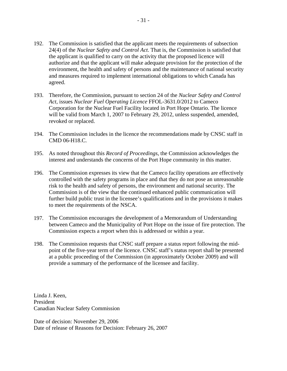- 192. The Commission is satisfied that the applicant meets the requirements of subsection 24(4) of the *Nuclear Safety and Control Act*. That is, the Commission is satisfied that the applicant is qualified to carry on the activity that the proposed licence will authorize and that the applicant will make adequate provision for the protection of the environment, the health and safety of persons and the maintenance of national security and measures required to implement international obligations to which Canada has agreed.
- 193. Therefore, the Commission, pursuant to section 24 of the *Nuclear Safety and Control Act*, issues *Nuclear Fuel Operating Licence* FFOL-3631.0/2012 to Cameco Corporation for the Nuclear Fuel Facility located in Port Hope Ontario. The licence will be valid from March 1, 2007 to February 29, 2012, unless suspended, amended, revoked or replaced.
- 194. The Commission includes in the licence the recommendations made by CNSC staff in CMD 06-H18.C.
- 195. As noted throughout this *Record of Proceedings*, the Commission acknowledges the interest and understands the concerns of the Port Hope community in this matter.
- 196. The Commission expresses its view that the Cameco facility operations are effectively controlled with the safety programs in place and that they do not pose an unreasonable risk to the health and safety of persons, the environment and national security. The Commission is of the view that the continued enhanced public communication will further build public trust in the licensee's qualifications and in the provisions it makes to meet the requirements of the NSCA.
- 197. The Commission encourages the development of a Memorandum of Understanding between Cameco and the Municipality of Port Hope on the issue of fire protection. The Commission expects a report when this is addressed or within a year.
- 198. The Commission requests that CNSC staff prepare a status report following the midpoint of the five-year term of the licence. CNSC staff's status report shall be presented at a public proceeding of the Commission (in approximately October 2009) and will provide a summary of the performance of the licensee and facility.

Linda J. Keen, President Canadian Nuclear Safety Commission

Date of decision: November 29, 2006 Date of release of Reasons for Decision: February 26, 2007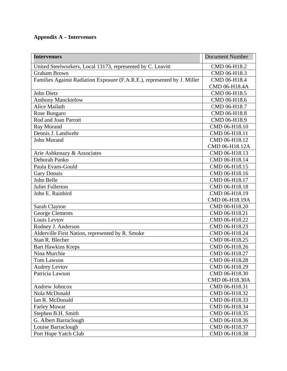## **Appendix A – Intervenors**

| <b>Intervenors</b>                                                       | <b>Document Number</b> |
|--------------------------------------------------------------------------|------------------------|
| United Steelworkers, Local 13173, represented by C. Leavitt              | CMD 06-H18.2           |
| <b>Graham Brown</b>                                                      | CMD 06-H18.3           |
| Families Against Radiation Exposure (F.A.R.E.), represented by J. Miller | CMD 06-H18.4           |
|                                                                          | CMD 06-H18.4A          |
| John Dietz                                                               | CMD 06-H18.5           |
| <b>Anthony Mancktelow</b>                                                | CMD 06-H18.6           |
| <b>Alice Mailath</b>                                                     | CMD 06-H18.7           |
| Rose Bungaro                                                             | CMD 06-H18.8           |
| Rod and Joan Parrott                                                     | CMD 06-H18.9           |
| Ray Morand                                                               | CMD 06-H18.10          |
| Dennis J. Landwehr                                                       | CMD 06-H18.11          |
| John Morand                                                              | CMD 06-H18.12          |
|                                                                          | CMD 06-H18.12A         |
| Arie Ashkenazy & Associates                                              | CMD 06-H18.13          |
| Deborah Panko                                                            | CMD 06-H18.14          |
| Paula Evans-Gould                                                        | CMD 06-H18.15          |
| <b>Gary Donais</b>                                                       | CMD 06-H18.16          |
| John Belle                                                               | CMD 06-H18.17          |
| <b>Juliet Fullerton</b>                                                  | CMD 06-H18.18          |
| John E. Rainbird                                                         | CMD 06-H18.19          |
|                                                                          | CMD 06-H18.19A         |
| Sarah Clayton                                                            | CMD 06-H18.20          |
| <b>George Clements</b>                                                   | CMD 06-H18.21          |
| Louis Levtov                                                             | CMD 06-H18.22          |
| Rodney J. Anderson                                                       | CMD 06-H18.23          |
| Alderville First Nation, represented by R. Smoke                         | CMD 06-H18.24          |
| Stan R. Blecher                                                          | CMD 06-H18.25          |
| <b>Bart Hawkins Kreps</b>                                                | CMD 06-H18.26          |
| Nina Murchie                                                             | CMD 06-H18.27          |
| Tom Lawson                                                               | CMD 06-H18.28          |
| <b>Audrey Levtov</b>                                                     | CMD 06-H18.29          |
| Patricia Lawson                                                          | CMD 06-H18.30          |
|                                                                          | CMD 06-H18.30A         |
| Andrew Johncox                                                           | CMD 06-H18.31          |
| Nola McDonald                                                            | CMD 06-H18.32          |
| Ian R. McDonald                                                          | CMD 06-H18.33          |
| <b>Farley Mowat</b>                                                      | CMD 06-H18.34          |
| Stephen B.H. Smith                                                       | CMD 06-H18.35          |
| G. Albert Barraclough                                                    | CMD 06-H18.36          |
| Louise Barraclough                                                       | CMD 06-H18.37          |
| Port Hope Yatch Club                                                     | CMD 06-H18.38          |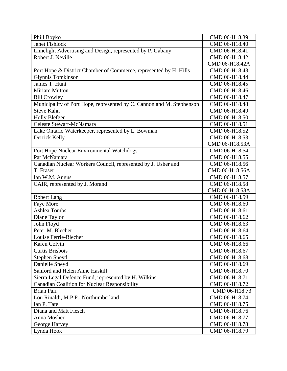| Phill Boyko                                                           | CMD 06-H18.39  |
|-----------------------------------------------------------------------|----------------|
| <b>Janet Fishlock</b>                                                 | CMD 06-H18.40  |
| Limelight Advertising and Design, represented by P. Gabany            | CMD 06-H18.41  |
| Robert J. Neville                                                     | CMD 06-H18.42  |
|                                                                       | CMD 06-H18.42A |
| Port Hope & District Chamber of Commerce, represented by H. Hills     | CMD 06-H18.43  |
| Glynnis Tomkinson                                                     | CMD 06-H18.44  |
| James T. Hunt                                                         | CMD 06-H18.45  |
| <b>Miriam Mutton</b>                                                  | CMD 06-H18.46  |
| <b>Bill Crowley</b>                                                   | CMD 06-H18.47  |
| Municipality of Port Hope, represented by C. Cannon and M. Stephenson | CMD 06-H18.48  |
| <b>Steve Kahn</b>                                                     | CMD 06-H18.49  |
| Holly Blefgen                                                         | CMD 06-H18.50  |
| Celeste Stewart-McNamara                                              | CMD 06-H18.51  |
| Lake Ontario Waterkeeper, represented by L. Bowman                    | CMD 06-H18.52  |
| Derrick Kelly                                                         | CMD 06-H18.53  |
|                                                                       | CMD 06-H18.53A |
| Port Hope Nuclear Environmental Watchdogs                             | CMD 06-H18.54  |
| Pat McNamara                                                          | CMD 06-H18.55  |
| Canadian Nuclear Workers Council, represented by J. Usher and         | CMD 06-H18.56  |
| T. Fraser                                                             | CMD 06-H18.56A |
| Ian W.M. Angus                                                        | CMD 06-H18.57  |
| CAIR, represented by J. Morand                                        | CMD 06-H18.58  |
|                                                                       | CMD 06-H18.58A |
| Robert Lang                                                           | CMD 06-H18.59  |
| Faye More                                                             | CMD 06-H18.60  |
| <b>Ashlea Tombs</b>                                                   | CMD 06-H18.61  |
| Diane Taylor                                                          | CMD 06-H18.62  |
| John Floyd                                                            | CMD 06-H18.63  |
| Peter M. Blecher                                                      | CMD 06-H18.64  |
| Louise Ferrie-Blecher                                                 | CMD 06-H18.65  |
| Karen Colvin                                                          | CMD 06-H18.66  |
| Curtis Brisbois                                                       | CMD 06-H18.67  |
| <b>Stephen Sneyd</b>                                                  | CMD 06-H18.68  |
| Danielle Sneyd                                                        | CMD 06-H18.69  |
| Sanford and Helen Anne Haskill                                        | CMD 06-H18.70  |
| Sierra Legal Defence Fund, represented by H. Wilkins                  | CMD 06-H18.71  |
| <b>Canadian Coalition for Nuclear Responsibility</b>                  | CMD 06-H18.72  |
| <b>Brian Parr</b>                                                     | CMD 06-H18.73  |
| Lou Rinaldi, M.P.P., Northumberland                                   | CMD 06-H18.74  |
| Ian P. Tate                                                           | CMD 06-H18.75  |
| Diana and Matt Flesch                                                 | CMD 06-H18.76  |
| Anna Mosher                                                           | CMD 06-H18.77  |
| George Harvey                                                         | CMD 06-H18.78  |
| Lynda Hook                                                            | CMD 06-H18.79  |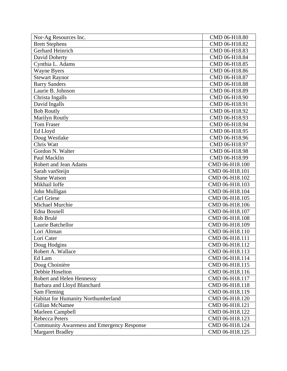| Nor-Ag Resources Inc.                             | CMD 06-H18.80  |
|---------------------------------------------------|----------------|
| <b>Brett Stephens</b>                             | CMD 06-H18.82  |
| <b>Gerhard Heinrich</b>                           | CMD 06-H18.83  |
| David Doherty                                     | CMD 06-H18.84  |
| Cynthia L. Adams                                  | CMD 06-H18.85  |
| <b>Wayne Byers</b>                                | CMD 06-H18.86  |
| <b>Stewart Raynor</b>                             | CMD 06-H18.87  |
| <b>Barry Sanders</b>                              | CMD 06-H18.88  |
| Laurie B. Johnson                                 | CMD 06-H18.89  |
| Christa Ingalls                                   | CMD 06-H18.90  |
| David Ingalls                                     | CMD 06-H18.91  |
| <b>Bob Routly</b>                                 | CMD 06-H18.92  |
| Marilyn Routly                                    | CMD 06-H18.93  |
| <b>Tom Fraser</b>                                 | CMD 06-H18.94  |
| Ed Lloyd                                          | CMD 06-H18.95  |
| Doug Westlake                                     | CMD 06-H18.96  |
| Chris Watt                                        | CMD 06-H18.97  |
| Gordon N. Walter                                  | CMD 06-H18.98  |
| Paul Macklin                                      | CMD 06-H18.99  |
| Robert and Jean Adams                             | CMD 06-H18.100 |
| Sarah vanSteijn                                   | CMD 06-H18.101 |
| <b>Shane Watson</b>                               | CMD 06-H18.102 |
| Mikhail Ioffe                                     | CMD 06-H18.103 |
| John Mulligan                                     | CMD 06-H18.104 |
| <b>Carl Griese</b>                                | CMD 06-H18.105 |
| Michael Murchie                                   | CMD 06-H18.106 |
| Edna Bosnell                                      | CMD 06-H18.107 |
| Rob Brulé                                         | CMD 06-H18.108 |
| Laurie Batchellor                                 | CMD 06-H18.109 |
| Lori Altman                                       | CMD 06-H18.110 |
| Lori Cater                                        | CMD 06-H18.111 |
| Doug Hodgins                                      | CMD 06-H18.112 |
| Robert A. Wallace                                 | CMD 06-H18.113 |
| Ed Lam                                            | CMD 06-H18.114 |
| Doug Choinière                                    | CMD 06-H18.115 |
| Debbie Hoselton                                   | CMD 06-H18.116 |
| Robert and Helen Hennessy                         | CMD 06-H18.117 |
| Barbara and Lloyd Blanchard                       | CMD 06-H18.118 |
| Sam Fleming                                       | CMD 06-H18.119 |
| Habitat for Humanity Northumberland               | CMD 06-H18.120 |
| <b>Gillian McNamee</b>                            | CMD 06-H18.121 |
| Marleen Campbell                                  | CMD 06-H18.122 |
| <b>Rebecca Peters</b>                             | CMD 06-H18.123 |
| <b>Community Awareness and Emergency Response</b> | CMD 06-H18.124 |
| <b>Margaret Bradley</b>                           | CMD 06-H18.125 |